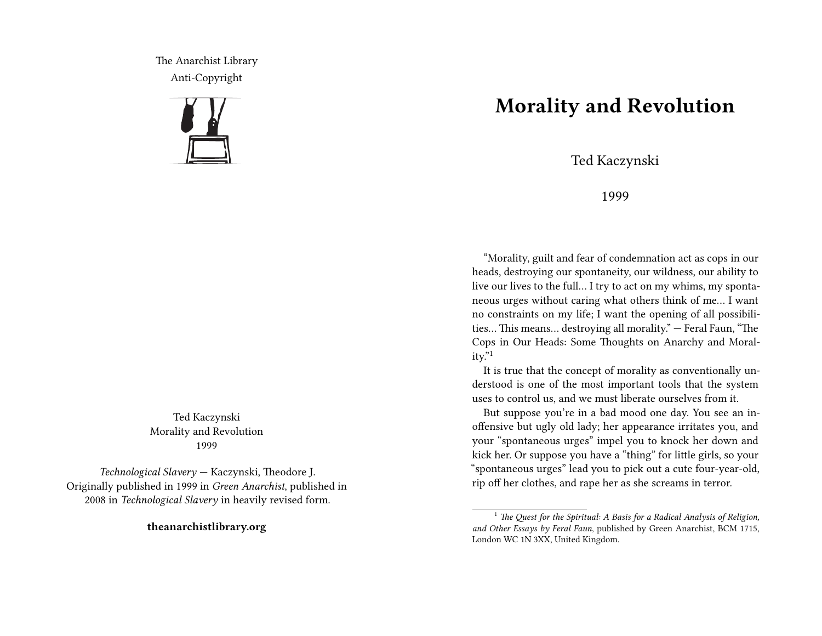The Anarchist Library Anti-Copyright



Ted Kaczynski Morality and Revolution 1999

*Technological Slavery* — Kaczynski, Theodore J. Originally published in 1999 in *Green Anarchist*, published in 2008 in *Technological Slavery* in heavily revised form.

**theanarchistlibrary.org**

## **Morality and Revolution**

Ted Kaczynski

1999

"Morality, guilt and fear of condemnation act as cops in our heads, destroying our spontaneity, our wildness, our ability to live our lives to the full… I try to act on my whims, my spontaneous urges without caring what others think of me… I want no constraints on my life; I want the opening of all possibilities… This means… destroying all morality." — Feral Faun, "The Cops in Our Heads: Some Thoughts on Anarchy and Morality."<sup>1</sup>

It is true that the concept of morality as conventionally understood is one of the most important tools that the system uses to control us, and we must liberate ourselves from it.

But suppose you're in a bad mood one day. You see an inoffensive but ugly old lady; her appearance irritates you, and your "spontaneous urges" impel you to knock her down and kick her. Or suppose you have a "thing" for little girls, so your "spontaneous urges" lead you to pick out a cute four-year-old, rip off her clothes, and rape her as she screams in terror.

<sup>&</sup>lt;sup>1</sup> The Quest for the Spiritual: A Basis for a Radical Analysis of Religion, *and Other Essays by Feral Faun*, published by Green Anarchist, BCM 1715, London WC 1N 3XX, United Kingdom.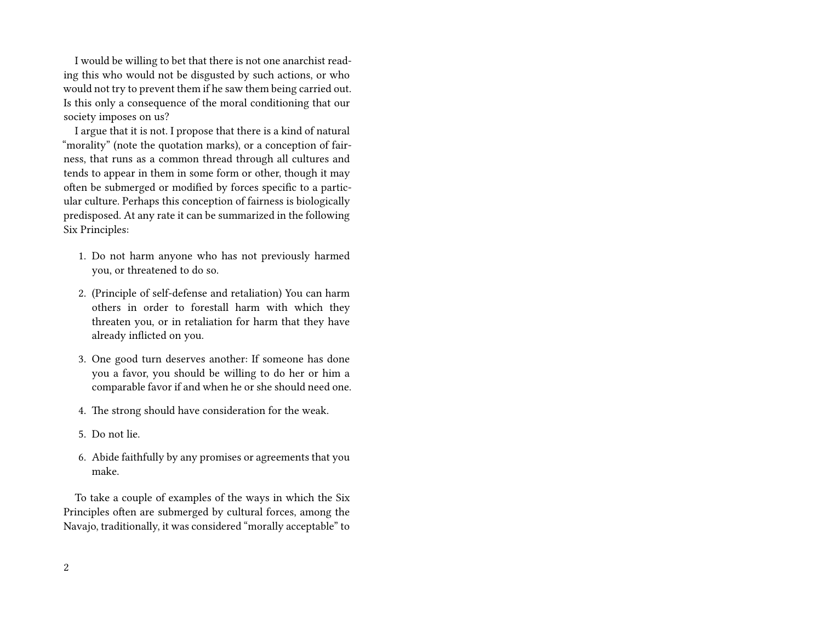I would be willing to bet that there is not one anarchist reading this who would not be disgusted by such actions, or who would not try to prevent them if he saw them being carried out. Is this only a consequence of the moral conditioning that our society imposes on us?

I argue that it is not. I propose that there is a kind of natural "morality" (note the quotation marks), or a conception of fairness, that runs as a common thread through all cultures and tends to appear in them in some form or other, though it may often be submerged or modified by forces specific to a particular culture. Perhaps this conception of fairness is biologically predisposed. At any rate it can be summarized in the following Six Principles:

- 1. Do not harm anyone who has not previously harmed you, or threatened to do so.
- 2. (Principle of self-defense and retaliation) You can harm others in order to forestall harm with which they threaten you, or in retaliation for harm that they have already inflicted on you.
- 3. One good turn deserves another: If someone has done you a favor, you should be willing to do her or him a comparable favor if and when he or she should need one.
- 4. The strong should have consideration for the weak.
- 5. Do not lie.
- 6. Abide faithfully by any promises or agreements that you make.

To take a couple of examples of the ways in which the Six Principles often are submerged by cultural forces, among the Navajo, traditionally, it was considered "morally acceptable" to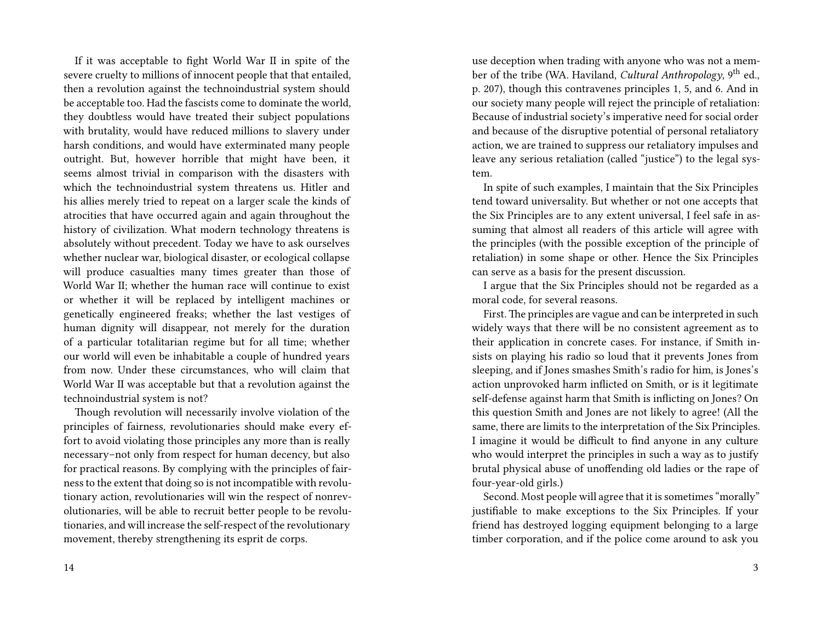If it was acceptable to fight World War II in spite of the severe cruelty to millions of innocent people that that entailed, then a revolution against the technoindustrial system should be acceptable too. Had the fascists come to dominate the world, they doubtless would have treated their subject populations with brutality, would have reduced millions to slavery under harsh conditions, and would have exterminated many people outright. But, however horrible that might have been, it seems almost trivial in comparison with the disasters with which the technoindustrial system threatens us. Hitler and his allies merely tried to repeat on a larger scale the kinds of atrocities that have occurred again and again throughout the history of civilization. What modern technology threatens is absolutely without precedent. Today we have to ask ourselves whether nuclear war, biological disaster, or ecological collapse will produce casualties many times greater than those of World War II; whether the human race will continue to exist or whether it will be replaced by intelligent machines or genetically engineered freaks; whether the last vestiges of human dignity will disappear, not merely for the duration of a particular totalitarian regime but for all time; whether our world will even be inhabitable a couple of hundred years from now. Under these circumstances, who will claim that World War II was acceptable but that a revolution against the technoindustrial system is not?

Though revolution will necessarily involve violation of the principles of fairness, revolutionaries should make every effort to avoid violating those principles any more than is really necessary–not only from respect for human decency, but also for practical reasons. By complying with the principles of fairness to the extent that doing so is not incompatible with revolutionary action, revolutionaries will win the respect of nonrevolutionaries, will be able to recruit better people to be revolutionaries, and will increase the self-respect of the revolutionary movement, thereby strengthening its esprit de corps.

use deception when trading with anyone who was not a member of the tribe (WA. Haviland, *Cultural Anthropology*, 9th ed., p. 207), though this contravenes principles 1, 5, and 6. And in our society many people will reject the principle of retaliation: Because of industrial society's imperative need for social order and because of the disruptive potential of personal retaliatory action, we are trained to suppress our retaliatory impulses and leave any serious retaliation (called "justice") to the legal system.

In spite of such examples, I maintain that the Six Principles tend toward universality. But whether or not one accepts that the Six Principles are to any extent universal, I feel safe in assuming that almost all readers of this article will agree with the principles (with the possible exception of the principle of retaliation) in some shape or other. Hence the Six Principles can serve as a basis for the present discussion.

I argue that the Six Principles should not be regarded as a moral code, for several reasons.

First. The principles are vague and can be interpreted in such widely ways that there will be no consistent agreement as to their application in concrete cases. For instance, if Smith insists on playing his radio so loud that it prevents Jones from sleeping, and if Jones smashes Smith's radio for him, is Jones's action unprovoked harm inflicted on Smith, or is it legitimate self-defense against harm that Smith is inflicting on Jones? On this question Smith and Jones are not likely to agree! (All the same, there are limits to the interpretation of the Six Principles. I imagine it would be difficult to find anyone in any culture who would interpret the principles in such a way as to justify brutal physical abuse of unoffending old ladies or the rape of four-year-old girls.)

Second. Most people will agree that it is sometimes "morally" justifiable to make exceptions to the Six Principles. If your friend has destroyed logging equipment belonging to a large timber corporation, and if the police come around to ask you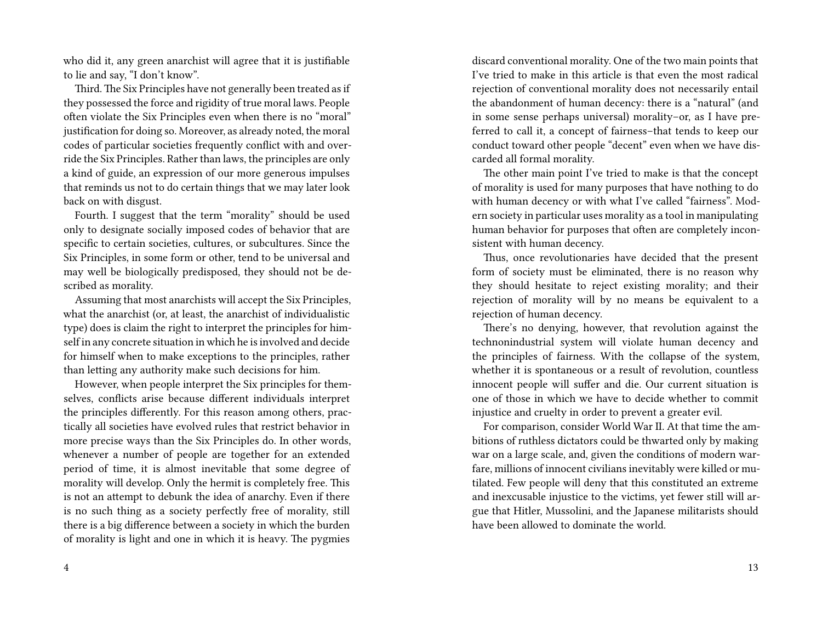who did it, any green anarchist will agree that it is justifiable to lie and say, "I don't know".

Third. The Six Principles have not generally been treated as if they possessed the force and rigidity of true moral laws. People often violate the Six Principles even when there is no "moral" justification for doing so. Moreover, as already noted, the moral codes of particular societies frequently conflict with and override the Six Principles. Rather than laws, the principles are only a kind of guide, an expression of our more generous impulses that reminds us not to do certain things that we may later look back on with disgust.

Fourth. I suggest that the term "morality" should be used only to designate socially imposed codes of behavior that are specific to certain societies, cultures, or subcultures. Since the Six Principles, in some form or other, tend to be universal and may well be biologically predisposed, they should not be described as morality.

Assuming that most anarchists will accept the Six Principles, what the anarchist (or, at least, the anarchist of individualistic type) does is claim the right to interpret the principles for himself in any concrete situation in which he is involved and decide for himself when to make exceptions to the principles, rather than letting any authority make such decisions for him.

However, when people interpret the Six principles for themselves, conflicts arise because different individuals interpret the principles differently. For this reason among others, practically all societies have evolved rules that restrict behavior in more precise ways than the Six Principles do. In other words, whenever a number of people are together for an extended period of time, it is almost inevitable that some degree of morality will develop. Only the hermit is completely free. This is not an attempt to debunk the idea of anarchy. Even if there is no such thing as a society perfectly free of morality, still there is a big difference between a society in which the burden of morality is light and one in which it is heavy. The pygmies

discard conventional morality. One of the two main points that I've tried to make in this article is that even the most radical rejection of conventional morality does not necessarily entail the abandonment of human decency: there is a "natural" (and in some sense perhaps universal) morality–or, as I have preferred to call it, a concept of fairness–that tends to keep our conduct toward other people "decent" even when we have discarded all formal morality.

The other main point I've tried to make is that the concept of morality is used for many purposes that have nothing to do with human decency or with what I've called "fairness". Modern society in particular uses morality as a tool in manipulating human behavior for purposes that often are completely inconsistent with human decency.

Thus, once revolutionaries have decided that the present form of society must be eliminated, there is no reason why they should hesitate to reject existing morality; and their rejection of morality will by no means be equivalent to a rejection of human decency.

There's no denying, however, that revolution against the technonindustrial system will violate human decency and the principles of fairness. With the collapse of the system, whether it is spontaneous or a result of revolution, countless innocent people will suffer and die. Our current situation is one of those in which we have to decide whether to commit injustice and cruelty in order to prevent a greater evil.

For comparison, consider World War II. At that time the ambitions of ruthless dictators could be thwarted only by making war on a large scale, and, given the conditions of modern warfare, millions of innocent civilians inevitably were killed or mutilated. Few people will deny that this constituted an extreme and inexcusable injustice to the victims, yet fewer still will argue that Hitler, Mussolini, and the Japanese militarists should have been allowed to dominate the world.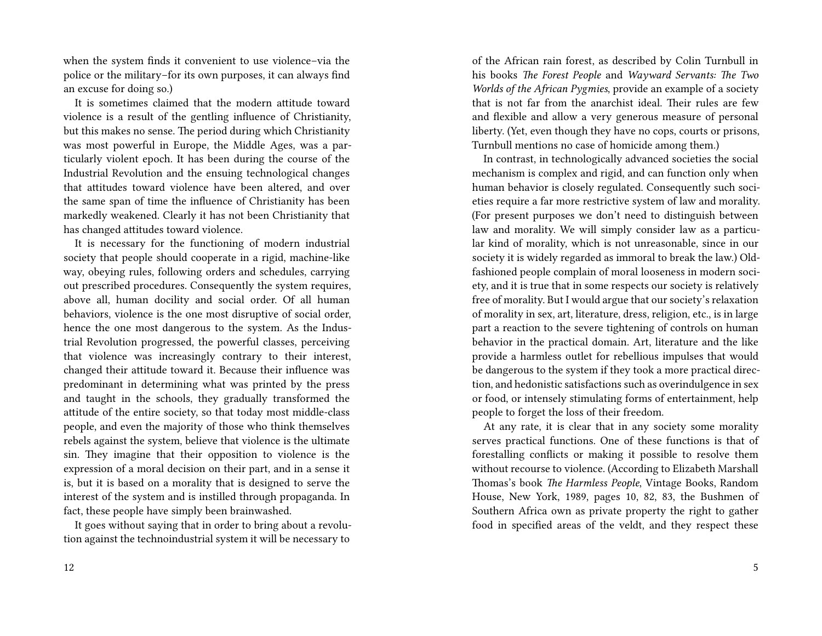when the system finds it convenient to use violence–via the police or the military–for its own purposes, it can always find an excuse for doing so.)

It is sometimes claimed that the modern attitude toward violence is a result of the gentling influence of Christianity, but this makes no sense. The period during which Christianity was most powerful in Europe, the Middle Ages, was a particularly violent epoch. It has been during the course of the Industrial Revolution and the ensuing technological changes that attitudes toward violence have been altered, and over the same span of time the influence of Christianity has been markedly weakened. Clearly it has not been Christianity that has changed attitudes toward violence.

It is necessary for the functioning of modern industrial society that people should cooperate in a rigid, machine-like way, obeying rules, following orders and schedules, carrying out prescribed procedures. Consequently the system requires, above all, human docility and social order. Of all human behaviors, violence is the one most disruptive of social order, hence the one most dangerous to the system. As the Industrial Revolution progressed, the powerful classes, perceiving that violence was increasingly contrary to their interest, changed their attitude toward it. Because their influence was predominant in determining what was printed by the press and taught in the schools, they gradually transformed the attitude of the entire society, so that today most middle-class people, and even the majority of those who think themselves rebels against the system, believe that violence is the ultimate sin. They imagine that their opposition to violence is the expression of a moral decision on their part, and in a sense it is, but it is based on a morality that is designed to serve the interest of the system and is instilled through propaganda. In fact, these people have simply been brainwashed.

It goes without saying that in order to bring about a revolution against the technoindustrial system it will be necessary to

of the African rain forest, as described by Colin Turnbull in his books *The Forest People* and *Wayward Servants: The Two Worlds of the African Pygmies*, provide an example of a society that is not far from the anarchist ideal. Their rules are few and flexible and allow a very generous measure of personal liberty. (Yet, even though they have no cops, courts or prisons, Turnbull mentions no case of homicide among them.)

In contrast, in technologically advanced societies the social mechanism is complex and rigid, and can function only when human behavior is closely regulated. Consequently such societies require a far more restrictive system of law and morality. (For present purposes we don't need to distinguish between law and morality. We will simply consider law as a particular kind of morality, which is not unreasonable, since in our society it is widely regarded as immoral to break the law.) Oldfashioned people complain of moral looseness in modern society, and it is true that in some respects our society is relatively free of morality. But I would argue that our society's relaxation of morality in sex, art, literature, dress, religion, etc., is in large part a reaction to the severe tightening of controls on human behavior in the practical domain. Art, literature and the like provide a harmless outlet for rebellious impulses that would be dangerous to the system if they took a more practical direction, and hedonistic satisfactions such as overindulgence in sex or food, or intensely stimulating forms of entertainment, help people to forget the loss of their freedom.

At any rate, it is clear that in any society some morality serves practical functions. One of these functions is that of forestalling conflicts or making it possible to resolve them without recourse to violence. (According to Elizabeth Marshall Thomas's book *The Harmless People*, Vintage Books, Random House, New York, 1989, pages 10, 82, 83, the Bushmen of Southern Africa own as private property the right to gather food in specified areas of the veldt, and they respect these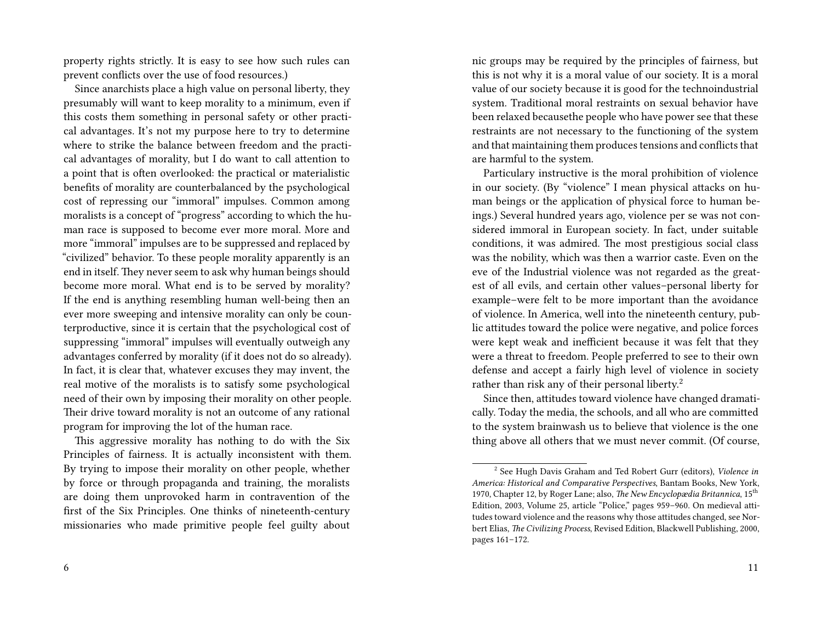property rights strictly. It is easy to see how such rules can prevent conflicts over the use of food resources.)

Since anarchists place a high value on personal liberty, they presumably will want to keep morality to a minimum, even if this costs them something in personal safety or other practical advantages. It's not my purpose here to try to determine where to strike the balance between freedom and the practical advantages of morality, but I do want to call attention to a point that is often overlooked: the practical or materialistic benefits of morality are counterbalanced by the psychological cost of repressing our "immoral" impulses. Common among moralists is a concept of "progress" according to which the human race is supposed to become ever more moral. More and more "immoral" impulses are to be suppressed and replaced by "civilized" behavior. To these people morality apparently is an end in itself. They never seem to ask why human beings should become more moral. What end is to be served by morality? If the end is anything resembling human well-being then an ever more sweeping and intensive morality can only be counterproductive, since it is certain that the psychological cost of suppressing "immoral" impulses will eventually outweigh any advantages conferred by morality (if it does not do so already). In fact, it is clear that, whatever excuses they may invent, the real motive of the moralists is to satisfy some psychological need of their own by imposing their morality on other people. Their drive toward morality is not an outcome of any rational program for improving the lot of the human race.

This aggressive morality has nothing to do with the Six Principles of fairness. It is actually inconsistent with them. By trying to impose their morality on other people, whether by force or through propaganda and training, the moralists are doing them unprovoked harm in contravention of the first of the Six Principles. One thinks of nineteenth-century missionaries who made primitive people feel guilty about

been relaxed becausethe people who have power see that these restraints are not necessary to the functioning of the system and that maintaining them produces tensions and conflicts that are harmful to the system. Particulary instructive is the moral prohibition of violence in our society. (By "violence" I mean physical attacks on hu-

man beings or the application of physical force to human beings.) Several hundred years ago, violence per se was not considered immoral in European society. In fact, under suitable conditions, it was admired. The most prestigious social class was the nobility, which was then a warrior caste. Even on the eve of the Industrial violence was not regarded as the greatest of all evils, and certain other values–personal liberty for example–were felt to be more important than the avoidance of violence. In America, well into the nineteenth century, public attitudes toward the police were negative, and police forces were kept weak and inefficient because it was felt that they were a threat to freedom. People preferred to see to their own defense and accept a fairly high level of violence in society rather than risk any of their personal liberty.<sup>2</sup>

nic groups may be required by the principles of fairness, but this is not why it is a moral value of our society. It is a moral value of our society because it is good for the technoindustrial system. Traditional moral restraints on sexual behavior have

Since then, attitudes toward violence have changed dramatically. Today the media, the schools, and all who are committed to the system brainwash us to believe that violence is the one thing above all others that we must never commit. (Of course,

<sup>2</sup> See Hugh Davis Graham and Ted Robert Gurr (editors), *Violence in America: Historical and Comparative Perspectives*, Bantam Books, New York, 1970, Chapter 12, by Roger Lane; also, *The New Encyclopædia Britannica*, 15th Edition, 2003, Volume 25, article "Police," pages 959–960. On medieval attitudes toward violence and the reasons why those attitudes changed, see Norbert Elias, *The Civilizing Process*, Revised Edition, Blackwell Publishing, 2000, pages 161–172.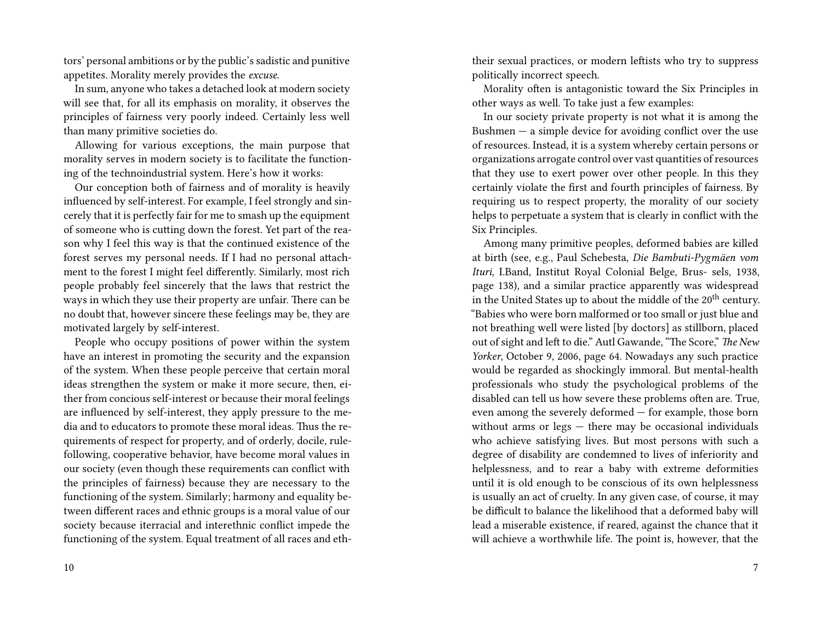tors' personal ambitions or by the public's sadistic and punitive appetites. Morality merely provides the *excuse*.

In sum, anyone who takes a detached look at modern society will see that, for all its emphasis on morality, it observes the principles of fairness very poorly indeed. Certainly less well than many primitive societies do.

Allowing for various exceptions, the main purpose that morality serves in modern society is to facilitate the functioning of the technoindustrial system. Here's how it works:

Our conception both of fairness and of morality is heavily influenced by self-interest. For example, I feel strongly and sincerely that it is perfectly fair for me to smash up the equipment of someone who is cutting down the forest. Yet part of the reason why I feel this way is that the continued existence of the forest serves my personal needs. If I had no personal attachment to the forest I might feel differently. Similarly, most rich people probably feel sincerely that the laws that restrict the ways in which they use their property are unfair. There can be no doubt that, however sincere these feelings may be, they are motivated largely by self-interest.

People who occupy positions of power within the system have an interest in promoting the security and the expansion of the system. When these people perceive that certain moral ideas strengthen the system or make it more secure, then, either from concious self-interest or because their moral feelings are influenced by self-interest, they apply pressure to the media and to educators to promote these moral ideas. Thus the requirements of respect for property, and of orderly, docile, rulefollowing, cooperative behavior, have become moral values in our society (even though these requirements can conflict with the principles of fairness) because they are necessary to the functioning of the system. Similarly; harmony and equality between different races and ethnic groups is a moral value of our society because iterracial and interethnic conflict impede the functioning of the system. Equal treatment of all races and eththeir sexual practices, or modern leftists who try to suppress politically incorrect speech.

Morality often is antagonistic toward the Six Principles in other ways as well. To take just a few examples:

In our society private property is not what it is among the Bushmen  $-$  a simple device for avoiding conflict over the use of resources. Instead, it is a system whereby certain persons or organizations arrogate control over vast quantities of resources that they use to exert power over other people. In this they certainly violate the first and fourth principles of fairness. By requiring us to respect property, the morality of our society helps to perpetuate a system that is clearly in conflict with the Six Principles.

Among many primitive peoples, deformed babies are killed at birth (see, e.g., Paul Schebesta, *Die Bambuti-Pygmäen vom Ituri*, I.Band, Institut Royal Colonial Belge, Brus- sels, 1938, page 138), and a similar practice apparently was widespread in the United States up to about the middle of the  $20<sup>th</sup>$  century. "Babies who were born malformed or too small or just blue and not breathing well were listed [by doctors] as stillborn, placed out of sight and left to die." Autl Gawande, "The Score," *The New Yorker*, October 9, 2006, page 64. Nowadays any such practice would be regarded as shockingly immoral. But mental-health professionals who study the psychological problems of the disabled can tell us how severe these problems often are. True, even among the severely deformed — for example, those born without arms or legs — there may be occasional individuals who achieve satisfying lives. But most persons with such a degree of disability are condemned to lives of inferiority and helplessness, and to rear a baby with extreme deformities until it is old enough to be conscious of its own helplessness is usually an act of cruelty. In any given case, of course, it may be difficult to balance the likelihood that a deformed baby will lead a miserable existence, if reared, against the chance that it will achieve a worthwhile life. The point is, however, that the